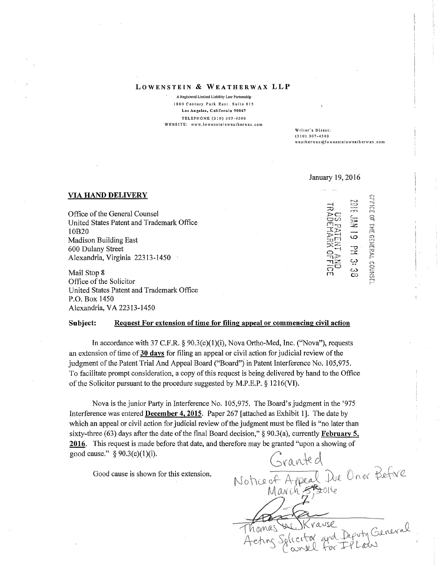## **LOWENSTEIN** & **WEATHERWAX LLP**

A Registered Limited Liability Law Partnership 1880 Century Pnrk Easl. Suile &15 Los Angeles, California 90067 TELEPHONE (310) 307-4500 WEBSITE: www.lowensteinweatherwax.com

Wriler·s Direct: (31 ()) 307-4503 weath erwax@l owens lei n \\'eath erwax. com

January 19,2016

## **VIA HAND DELIVERY**

Office of the General Counsel United States Patent and Trademark Office I0B20 Madison Building East 600 Dulany Street Alexandria, Virginia 22313-1450

Mail Stop 8 Office of the Solicitor United States Patent and Trademark Office P.O. Box 1450 Alexandria, VA22313-1450

 $\exists$   $\exists$  $\overline{\mathcal{D}}$  $\widetilde{\Xi}$ c $^{\circ}$  ( $^{\circ}$  $\widetilde{\Xi}_{\rm C} \cong$  $\mathbb{C}$ y 2  $\mathbb{E}$  $\tilde{\varphi}$  $\widetilde{\Xi}$  -  $\Xi$  $\frac{1}{2}$   $\frac{1}{2}$   $\frac{1}{2}$   $\frac{1}{2}$   $\frac{1}{2}$   $\frac{1}{2}$   $\frac{1}{2}$   $\frac{1}{2}$   $\frac{1}{2}$   $\frac{1}{2}$   $\frac{1}{2}$   $\frac{1}{2}$   $\frac{1}{2}$   $\frac{1}{2}$   $\frac{1}{2}$   $\frac{1}{2}$   $\frac{1}{2}$   $\frac{1}{2}$   $\frac{1}{2}$   $\frac{1}{2}$   $\frac{1}{2}$   $\frac{1}{2}$   $\bar{\Xi}^{\Theta}$   $\ddot{\tilde{\omega}}$  $m = \tilde{\omega}$ STFICE OF : THE GEHERA co<sub>1</sub> (.i} M

j'-··

## **Subject: Request For extension of time for filing appeal or commencing civil action**

In accordance with 37 C.F.R.  $\S$  90.3(c)(1)(i), Nova Ortho-Med, Inc. ("Nova"), requests an extension of time of30 **days** for filing an appeal or civil action for judicial review of the judgment of the Patent Trial And Appeal Board ("Board") in Patent Interference No. 105,975. To facilitate prompt consideration, a copy of this request is being delivered by hand to the Office of the Solicitor pursuant to the procedure suggested by M.P.E.P. § 1216(VI).

Nova is the junior Party in Interference No. 105,975. The Board's judgment in the '975 Interference was entered **December 4, 2015.** Paper 267 [attached as Exhibit 1]. The date by which an appeal or civil action for judicial review of the judgment must be filed is "no later than sixty-three (63) days after the date of the final Board decision,"§ 90.3(a), currently **February 5,**  good cause."  $\S 90.3(c)(1)(i)$ .

Good cause is shown for this extension.

**2016.** This request is made before that date, and therefore may be granted "upon a showing of<br>good cause." § 90.3(c)(1)(i).<br>Good cause is shown for this extension.<br>Notice of Appeal Due On or Before<br> $M \omega$  on  $\beta$ Thomas W. Krause<br>Aeting Splicitor and Deputy General IK rause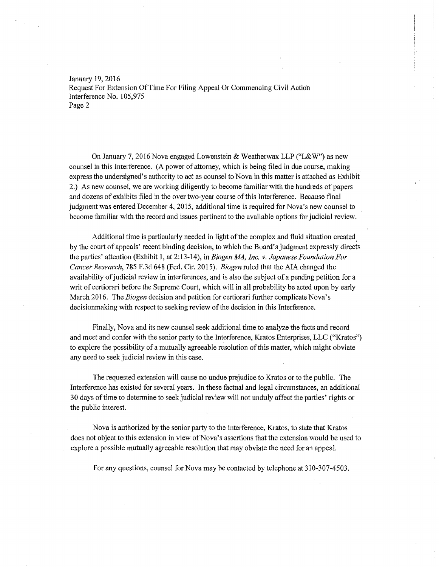January 19, 2016 Request For Extension Of Time For Filing Appeal Or Commencing Civil Action Interference No. 105,975 Page 2

On January 7, 2016 Nova engaged Lowenstein & Weatherwax LLP ("L&W") as new counsel in this Interference. (A power of attorney, which is being filed in due course, making express the undersigned's authority to act as counsel to Nova in this matter is attached as Exhibit 2.) As new counsel, we are working diligently to become familiar with the hundreds of papers and dozens of exhibits filed in the over two-year course of this Interference. Because final judgment was entered December 4, 2015, additional time is required for Nova's new counsel to become familiar with the record and issues pertinent to the available options for judicial review.

Additional time is particularly needed in light of the complex and fluid situation created, by the court of appeals' recent binding decision, to which the Board's judgment expressly directs the parties' attention (Exhibit 1, at 2: 13-14), in *Biogen MA, Inc. v. Japanese Foundation For Cancer Research,* 785 F.3d 648 (Fed. Cir. 2015). *Biogen* ruled that the AIA changed the availability of judicial review in interferences, and is also the subject of a pending petition for a writ of certiorari before the Supreme Court, which will in all probability be acted upon by early March 2016. The *Biogen* decision and petition for certiorari further complicate Nova's decisionmaking with respect to seeking review of the decision in this Interference.

Finally, Nova and its new counsel seek additional time to analyze the facts and record and meet and confer with the senior party to the Interference, Kratos Enterprises, LLC ("Kratos") to explore the possibility of a mutually agreeable resolution of this matter, which might obviate any need to seek judicial review in this case.

The requested extension will cause no undue prejudice to Kratos or to the public. The Interference has existed for several years. In these factual and legal circumstances, an additional 30 days of time to determine to seek judicial review will not unduly affect the parties' rights or the public interest.

Nova is authorized by the senior party to the Interference, Kratos, to state that Kratos does not object to this extension in view of Nova's assertions that the extension would be used to explore a possible mutually agreeable resolution that may obviate the need for an appeal.

For any questions, counsel for Nova may be contacted by telephone at 310-307-4503.